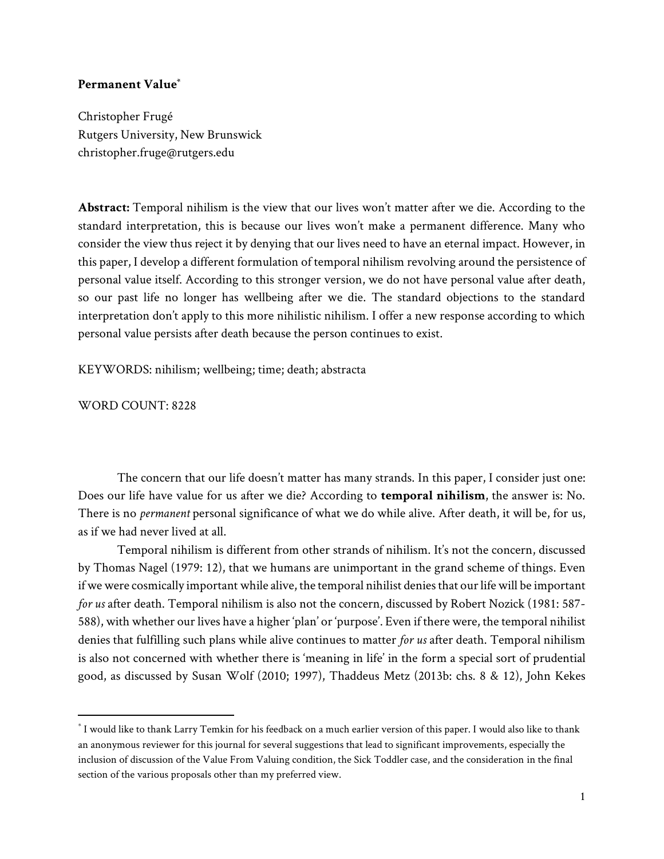## **Permanent Value\***

Christopher Frugé Rutgers University, New Brunswick christopher.fruge@rutgers.edu

**Abstract:** Temporal nihilism is the view that our lives won't matter after we die. According to the standard interpretation, this is because our lives won't make a permanent difference. Many who consider the view thus reject it by denying that our lives need to have an eternal impact. However, in this paper, I develop a different formulation of temporal nihilism revolving around the persistence of personal value itself. According to this stronger version, we do not have personal value after death, so our past life no longer has wellbeing after we die. The standard objections to the standard interpretation don't apply to this more nihilistic nihilism. I offer a new response according to which personal value persists after death because the person continues to exist.

KEYWORDS: nihilism; wellbeing; time; death; abstracta

WORD COUNT: 8228

The concern that our life doesn't matter has many strands. In this paper, I consider just one: Does our life have value for us after we die? According to **temporal nihilism**, the answer is: No. There is no *permanent* personal significance of what we do while alive. After death, it will be, for us, as if we had never lived at all.

Temporal nihilism is different from other strands of nihilism. It's not the concern, discussed by Thomas Nagel (1979: 12), that we humans are unimportant in the grand scheme of things. Even if we were cosmically important while alive, the temporal nihilist denies that our life will be important *for us* after death. Temporal nihilism is also not the concern, discussed by Robert Nozick (1981: 587- 588), with whether our lives have a higher 'plan' or 'purpose'. Even if there were, the temporal nihilist denies that fulfilling such plans while alive continues to matter *for us* after death. Temporal nihilism is also not concerned with whether there is 'meaning in life' in the form a special sort of prudential good, as discussed by Susan Wolf (2010; 1997), Thaddeus Metz (2013b: chs. 8 & 12), John Kekes

 $^\ast$  I would like to thank Larry Temkin for his feedback on a much earlier version of this paper. I would also like to thank an anonymous reviewer for this journal for several suggestions that lead to significant improvements, especially the inclusion of discussion of the Value From Valuing condition, the Sick Toddler case, and the consideration in the final section of the various proposals other than my preferred view.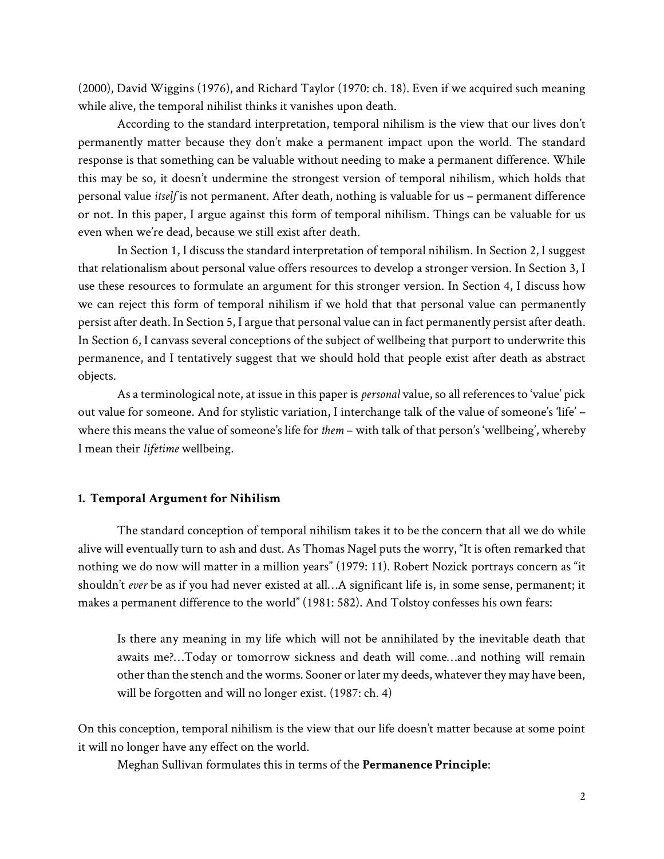(2000), David Wiggins (1976), and Richard Taylor (1970: ch. 18). Even if we acquired such meaning while alive, the temporal nihilist thinks it vanishes upon death.

According to the standard interpretation, temporal nihilism is the view that our lives don't permanently matter because they don't make a permanent impact upon the world. The standard response is that something can be valuable without needing to make a permanent difference. While this may be so, it doesn't undermine the strongest version of temporal nihilism, which holds that personal value *itself* is not permanent. After death, nothing is valuable for us – permanent difference or not. In this paper, I argue against this form of temporal nihilism. Things can be valuable for us even when we're dead, because we still exist after death.

In Section 1, I discuss the standard interpretation of temporal nihilism. In Section 2, I suggest that relationalism about personal value offers resources to develop a stronger version. In Section 3, I use these resources to formulate an argument for this stronger version. In Section 4, I discuss how we can reject this form of temporal nihilism if we hold that that personal value can permanently persist after death. In Section 5, I argue that personal value can in fact permanently persist after death. In Section 6, I canvass several conceptions of the subject of wellbeing that purport to underwrite this permanence, and I tentatively suggest that we should hold that people exist after death as abstract objects.

As a terminological note, at issue in this paper is *personal* value, so all references to 'value' pick out value for someone. And for stylistic variation, I interchange talk of the value of someone's 'life' – where this means the value of someone's life for *them* – with talk of that person's 'wellbeing', whereby I mean their *lifetime* wellbeing.

### **1. Temporal Argument for Nihilism**

The standard conception of temporal nihilism takes it to be the concern that all we do while alive will eventually turn to ash and dust. As Thomas Nagel puts the worry, "It is often remarked that nothing we do now will matter in a million years" (1979: 11). Robert Nozick portrays concern as "it shouldn't *ever* be as if you had never existed at all…A significant life is, in some sense, permanent; it makes a permanent difference to the world" (1981: 582). And Tolstoy confesses his own fears:

Is there any meaning in my life which will not be annihilated by the inevitable death that awaits me?…Today or tomorrow sickness and death will come…and nothing will remain other than the stench and the worms. Sooner or later my deeds, whatever they may have been, will be forgotten and will no longer exist. (1987: ch. 4)

On this conception, temporal nihilism is the view that our life doesn't matter because at some point it will no longer have any effect on the world.

Meghan Sullivan formulates this in terms of the **Permanence Principle**: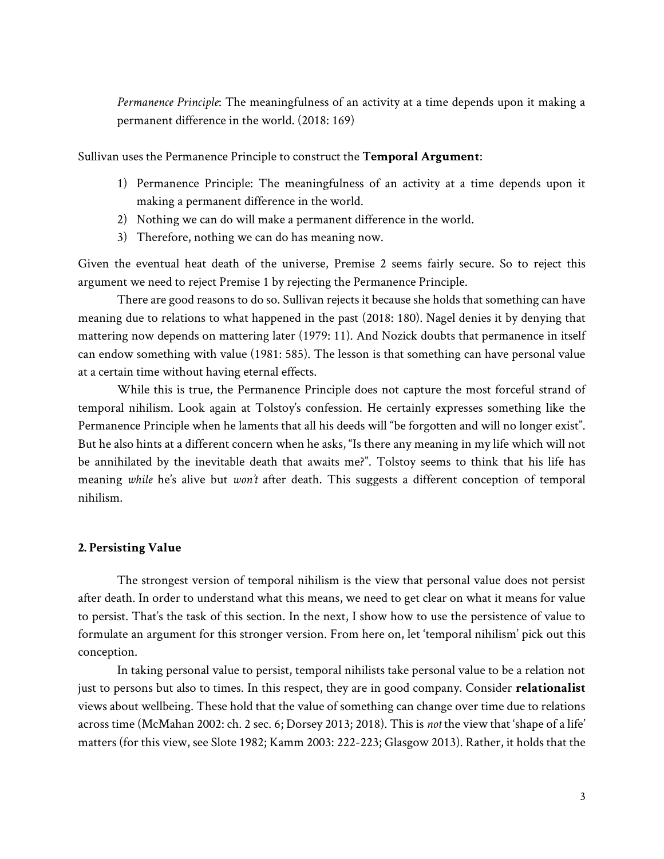*Permanence Principle*: The meaningfulness of an activity at a time depends upon it making a permanent difference in the world. (2018: 169)

Sullivan uses the Permanence Principle to construct the **Temporal Argument**:

- 1) Permanence Principle: The meaningfulness of an activity at a time depends upon it making a permanent difference in the world.
- 2) Nothing we can do will make a permanent difference in the world.
- 3) Therefore, nothing we can do has meaning now.

Given the eventual heat death of the universe, Premise 2 seems fairly secure. So to reject this argument we need to reject Premise 1 by rejecting the Permanence Principle.

There are good reasons to do so. Sullivan rejects it because she holds that something can have meaning due to relations to what happened in the past (2018: 180). Nagel denies it by denying that mattering now depends on mattering later (1979: 11). And Nozick doubts that permanence in itself can endow something with value (1981: 585). The lesson is that something can have personal value at a certain time without having eternal effects.

While this is true, the Permanence Principle does not capture the most forceful strand of temporal nihilism. Look again at Tolstoy's confession. He certainly expresses something like the Permanence Principle when he laments that all his deeds will "be forgotten and will no longer exist". But he also hints at a different concern when he asks, "Is there any meaning in my life which will not be annihilated by the inevitable death that awaits me?". Tolstoy seems to think that his life has meaning *while* he's alive but *won't* after death. This suggests a different conception of temporal nihilism.

### **2. Persisting Value**

The strongest version of temporal nihilism is the view that personal value does not persist after death. In order to understand what this means, we need to get clear on what it means for value to persist. That's the task of this section. In the next, I show how to use the persistence of value to formulate an argument for this stronger version. From here on, let 'temporal nihilism' pick out this conception.

In taking personal value to persist, temporal nihilists take personal value to be a relation not just to persons but also to times. In this respect, they are in good company. Consider **relationalist**  views about wellbeing. These hold that the value of something can change over time due to relations across time (McMahan 2002: ch. 2 sec. 6; Dorsey 2013; 2018). This is *not* the view that 'shape of a life' matters (for this view, see Slote 1982; Kamm 2003: 222-223; Glasgow 2013). Rather, it holds that the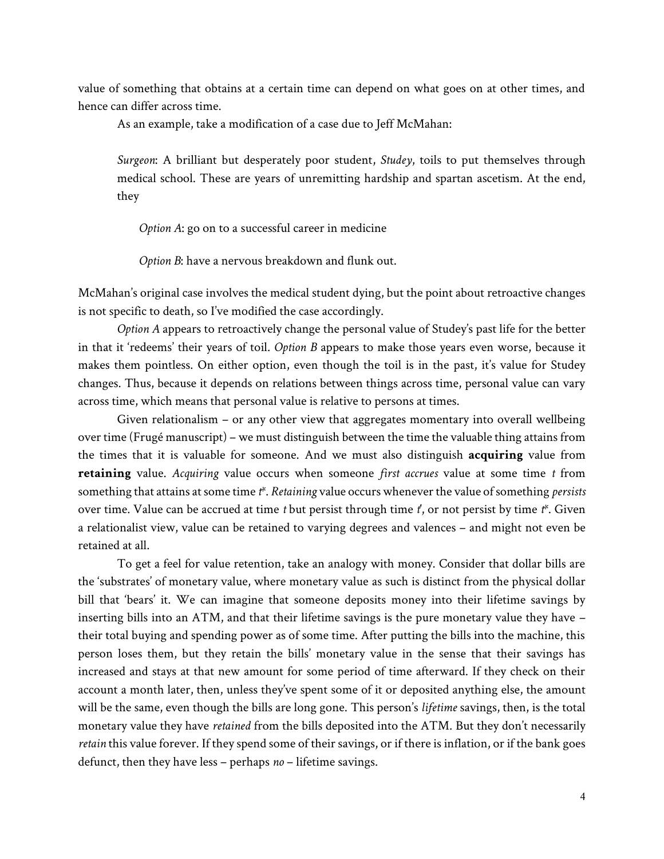value of something that obtains at a certain time can depend on what goes on at other times, and hence can differ across time.

As an example, take a modification of a case due to Jeff McMahan:

*Surgeon*: A brilliant but desperately poor student, *Studey*, toils to put themselves through medical school. These are years of unremitting hardship and spartan ascetism. At the end, they

*Option A*: go on to a successful career in medicine

*Option B*: have a nervous breakdown and flunk out.

McMahan's original case involves the medical student dying, but the point about retroactive changes is not specific to death, so I've modified the case accordingly.

*Option A* appears to retroactively change the personal value of Studey's past life for the better in that it 'redeems' their years of toil. *Option B* appears to make those years even worse, because it makes them pointless. On either option, even though the toil is in the past, it's value for Studey changes. Thus, because it depends on relations between things across time, personal value can vary across time, which means that personal value is relative to persons at times.

Given relationalism – or any other view that aggregates momentary into overall wellbeing over time (Frugé manuscript) – we must distinguish between the time the valuable thing attains from the times that it is valuable for someone. And we must also distinguish **acquiring** value from **retaining** value. *Acquiring* value occurs when someone *first accrues* value at some time *t* from something that attains at some time *t\**. *Retaining* value occurs whenever the value of something *persists* over time. Value can be accrued at time *t* but persist through time *t'*, or not persist by time *t\**. Given a relationalist view, value can be retained to varying degrees and valences – and might not even be retained at all.

To get a feel for value retention, take an analogy with money. Consider that dollar bills are the 'substrates' of monetary value, where monetary value as such is distinct from the physical dollar bill that 'bears' it. We can imagine that someone deposits money into their lifetime savings by inserting bills into an ATM, and that their lifetime savings is the pure monetary value they have – their total buying and spending power as of some time. After putting the bills into the machine, this person loses them, but they retain the bills' monetary value in the sense that their savings has increased and stays at that new amount for some period of time afterward. If they check on their account a month later, then, unless they've spent some of it or deposited anything else, the amount will be the same, even though the bills are long gone. This person's *lifetime* savings, then, is the total monetary value they have *retained* from the bills deposited into the ATM. But they don't necessarily *retain* this value forever. If they spend some of their savings, or if there is inflation, or if the bank goes defunct, then they have less – perhaps *no* – lifetime savings.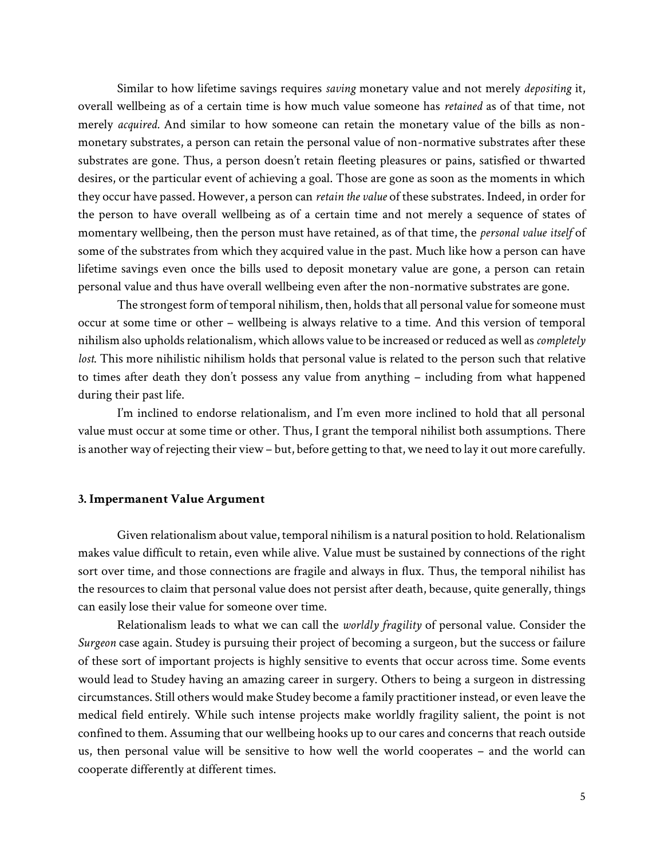Similar to how lifetime savings requires *saving* monetary value and not merely *depositing* it, overall wellbeing as of a certain time is how much value someone has *retained* as of that time, not merely *acquired.* And similar to how someone can retain the monetary value of the bills as nonmonetary substrates, a person can retain the personal value of non-normative substrates after these substrates are gone. Thus, a person doesn't retain fleeting pleasures or pains, satisfied or thwarted desires, or the particular event of achieving a goal. Those are gone as soon as the moments in which they occur have passed. However, a person can *retain the value* of these substrates. Indeed, in order for the person to have overall wellbeing as of a certain time and not merely a sequence of states of momentary wellbeing, then the person must have retained, as of that time, the *personal value itself* of some of the substrates from which they acquired value in the past. Much like how a person can have lifetime savings even once the bills used to deposit monetary value are gone, a person can retain personal value and thus have overall wellbeing even after the non-normative substrates are gone.

The strongest form of temporal nihilism, then, holds that all personal value for someone must occur at some time or other – wellbeing is always relative to a time. And this version of temporal nihilism also upholds relationalism, which allows value to be increased or reduced as well as*completely lost*. This more nihilistic nihilism holds that personal value is related to the person such that relative to times after death they don't possess any value from anything – including from what happened during their past life.

I'm inclined to endorse relationalism, and I'm even more inclined to hold that all personal value must occur at some time or other. Thus, I grant the temporal nihilist both assumptions. There is another way of rejecting their view – but, before getting to that, we need to lay it out more carefully.

#### **3. Impermanent Value Argument**

Given relationalism about value, temporal nihilism is a natural position to hold. Relationalism makes value difficult to retain, even while alive. Value must be sustained by connections of the right sort over time, and those connections are fragile and always in flux. Thus, the temporal nihilist has the resources to claim that personal value does not persist after death, because, quite generally, things can easily lose their value for someone over time.

Relationalism leads to what we can call the *worldly fragility* of personal value. Consider the *Surgeon* case again. Studey is pursuing their project of becoming a surgeon, but the success or failure of these sort of important projects is highly sensitive to events that occur across time. Some events would lead to Studey having an amazing career in surgery. Others to being a surgeon in distressing circumstances. Still others would make Studey become a family practitioner instead, or even leave the medical field entirely. While such intense projects make worldly fragility salient, the point is not confined to them. Assuming that our wellbeing hooks up to our cares and concerns that reach outside us, then personal value will be sensitive to how well the world cooperates – and the world can cooperate differently at different times.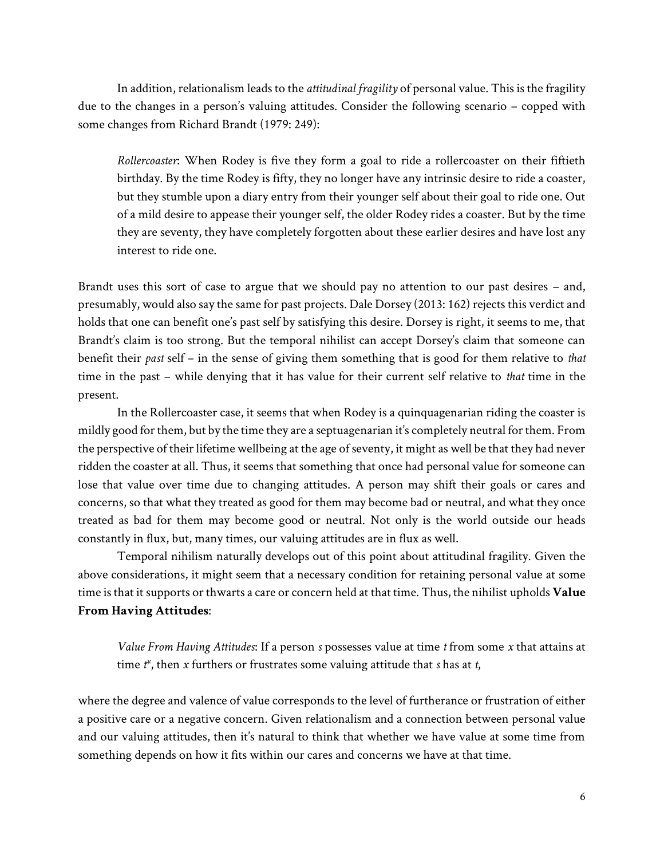In addition, relationalism leads to the *attitudinal fragility* of personal value. This is the fragility due to the changes in a person's valuing attitudes. Consider the following scenario – copped with some changes from Richard Brandt (1979: 249):

*Rollercoaster*: When Rodey is five they form a goal to ride a rollercoaster on their fiftieth birthday. By the time Rodey is fifty, they no longer have any intrinsic desire to ride a coaster, but they stumble upon a diary entry from their younger self about their goal to ride one. Out of a mild desire to appease their younger self, the older Rodey rides a coaster. But by the time they are seventy, they have completely forgotten about these earlier desires and have lost any interest to ride one.

Brandt uses this sort of case to argue that we should pay no attention to our past desires – and, presumably, would also say the same for past projects. Dale Dorsey (2013: 162) rejects this verdict and holds that one can benefit one's past self by satisfying this desire. Dorsey is right, it seems to me, that Brandt's claim is too strong. But the temporal nihilist can accept Dorsey's claim that someone can benefit their *past* self – in the sense of giving them something that is good for them relative to *that*  time in the past – while denying that it has value for their current self relative to *that* time in the present.

In the Rollercoaster case, it seems that when Rodey is a quinquagenarian riding the coaster is mildly good for them, but by the time they are a septuagenarian it's completely neutral for them. From the perspective of their lifetime wellbeing at the age of seventy, it might as well be that they had never ridden the coaster at all. Thus, it seems that something that once had personal value for someone can lose that value over time due to changing attitudes. A person may shift their goals or cares and concerns, so that what they treated as good for them may become bad or neutral, and what they once treated as bad for them may become good or neutral. Not only is the world outside our heads constantly in flux, but, many times, our valuing attitudes are in flux as well.

Temporal nihilism naturally develops out of this point about attitudinal fragility. Given the above considerations, it might seem that a necessary condition for retaining personal value at some time is that it supports or thwarts a care or concern held at that time. Thus, the nihilist upholds **Value From Having Attitudes**:

*Value From Having Attitudes*: If a person *s* possesses value at time *t* from some *x* that attains at time *t\**, then *x* furthers or frustrates some valuing attitude that *s* has at *t*,

where the degree and valence of value corresponds to the level of furtherance or frustration of either a positive care or a negative concern. Given relationalism and a connection between personal value and our valuing attitudes, then it's natural to think that whether we have value at some time from something depends on how it fits within our cares and concerns we have at that time.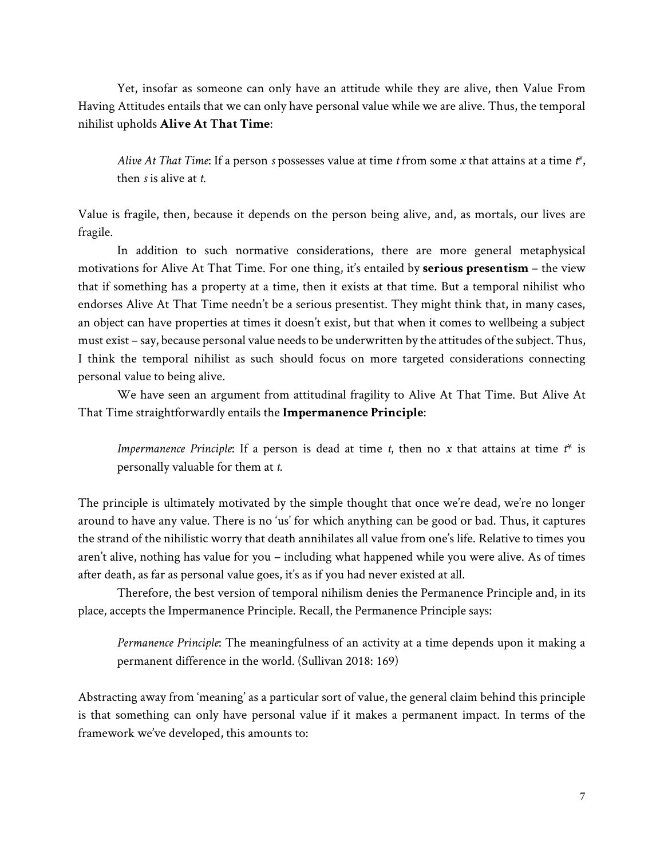Yet, insofar as someone can only have an attitude while they are alive, then Value From Having Attitudes entails that we can only have personal value while we are alive. Thus, the temporal nihilist upholds **Alive At That Time**:

*Alive At That Time*: If a person *s* possesses value at time *t* from some *x* that attains at a time *t\**, then *s* is alive at *t*.

Value is fragile, then, because it depends on the person being alive, and, as mortals, our lives are fragile.

In addition to such normative considerations, there are more general metaphysical motivations for Alive At That Time. For one thing, it's entailed by **serious presentism** – the view that if something has a property at a time, then it exists at that time. But a temporal nihilist who endorses Alive At That Time needn't be a serious presentist. They might think that, in many cases, an object can have properties at times it doesn't exist, but that when it comes to wellbeing a subject must exist – say, because personal value needs to be underwritten by the attitudes of the subject. Thus, I think the temporal nihilist as such should focus on more targeted considerations connecting personal value to being alive.

We have seen an argument from attitudinal fragility to Alive At That Time. But Alive At That Time straightforwardly entails the **Impermanence Principle**:

*Impermanence Principle*: If a person is dead at time *t*, then no *x* that attains at time *t*\* is personally valuable for them at *t*.

The principle is ultimately motivated by the simple thought that once we're dead, we're no longer around to have any value. There is no 'us' for which anything can be good or bad. Thus, it captures the strand of the nihilistic worry that death annihilates all value from one's life. Relative to times you aren't alive, nothing has value for you – including what happened while you were alive. As of times after death, as far as personal value goes, it's as if you had never existed at all.

Therefore, the best version of temporal nihilism denies the Permanence Principle and, in its place, accepts the Impermanence Principle. Recall, the Permanence Principle says:

*Permanence Principle*: The meaningfulness of an activity at a time depends upon it making a permanent difference in the world. (Sullivan 2018: 169)

Abstracting away from 'meaning' as a particular sort of value, the general claim behind this principle is that something can only have personal value if it makes a permanent impact. In terms of the framework we've developed, this amounts to: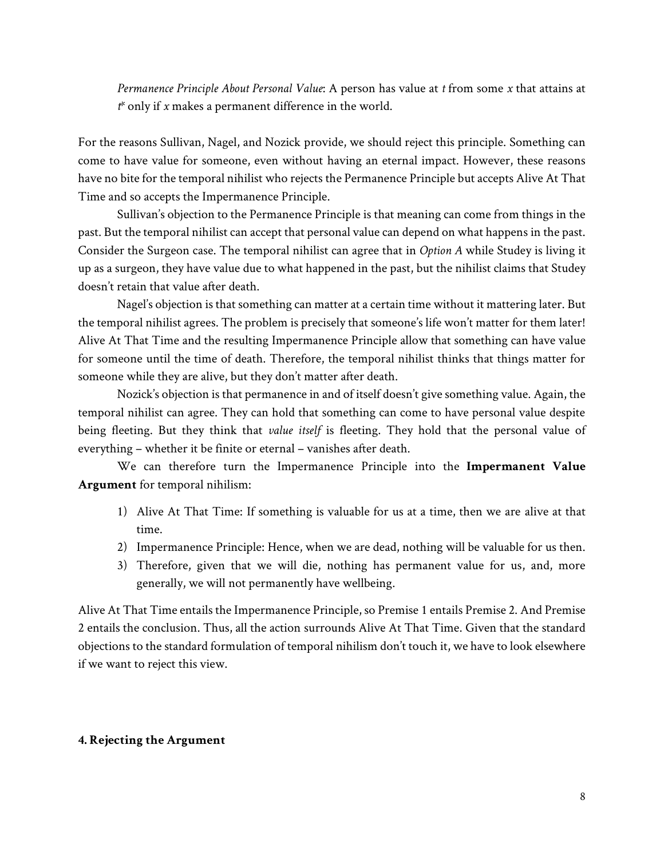*Permanence Principle About Personal Value*: A person has value at *t* from some *x* that attains at *t\** only if *x* makes a permanent difference in the world.

For the reasons Sullivan, Nagel, and Nozick provide, we should reject this principle. Something can come to have value for someone, even without having an eternal impact. However, these reasons have no bite for the temporal nihilist who rejects the Permanence Principle but accepts Alive At That Time and so accepts the Impermanence Principle.

Sullivan's objection to the Permanence Principle is that meaning can come from things in the past. But the temporal nihilist can accept that personal value can depend on what happens in the past. Consider the Surgeon case. The temporal nihilist can agree that in *Option A* while Studey is living it up as a surgeon, they have value due to what happened in the past, but the nihilist claims that Studey doesn't retain that value after death.

Nagel's objection is that something can matter at a certain time without it mattering later. But the temporal nihilist agrees. The problem is precisely that someone's life won't matter for them later! Alive At That Time and the resulting Impermanence Principle allow that something can have value for someone until the time of death. Therefore, the temporal nihilist thinks that things matter for someone while they are alive, but they don't matter after death.

Nozick's objection is that permanence in and of itself doesn't give something value. Again, the temporal nihilist can agree. They can hold that something can come to have personal value despite being fleeting. But they think that *value itself* is fleeting. They hold that the personal value of everything – whether it be finite or eternal – vanishes after death.

We can therefore turn the Impermanence Principle into the **Impermanent Value Argument** for temporal nihilism:

- 1) Alive At That Time: If something is valuable for us at a time, then we are alive at that time.
- 2) Impermanence Principle: Hence, when we are dead, nothing will be valuable for us then.
- 3) Therefore, given that we will die, nothing has permanent value for us, and, more generally, we will not permanently have wellbeing.

Alive At That Time entails the Impermanence Principle, so Premise 1 entails Premise 2. And Premise 2 entails the conclusion. Thus, all the action surrounds Alive At That Time. Given that the standard objections to the standard formulation of temporal nihilism don't touch it, we have to look elsewhere if we want to reject this view.

### **4. Rejecting the Argument**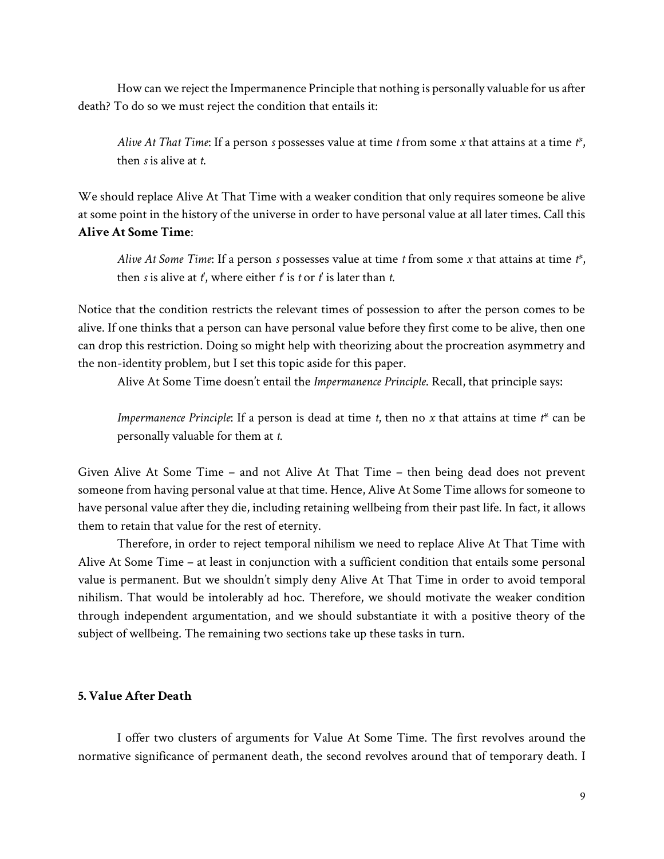How can we reject the Impermanence Principle that nothing is personally valuable for us after death? To do so we must reject the condition that entails it:

*Alive At That Time*: If a person *s* possesses value at time *t* from some *x* that attains at a time *t\**, then *s* is alive at *t*.

We should replace Alive At That Time with a weaker condition that only requires someone be alive at some point in the history of the universe in order to have personal value at all later times. Call this **Alive At Some Time**:

*Alive At Some Time*: If a person *s* possesses value at time *t* from some *x* that attains at time *t\**, then *s* is alive at *t'*, where either *t'* is *t* or *t'* is later than *t*.

Notice that the condition restricts the relevant times of possession to after the person comes to be alive. If one thinks that a person can have personal value before they first come to be alive, then one can drop this restriction. Doing so might help with theorizing about the procreation asymmetry and the non-identity problem, but I set this topic aside for this paper.

Alive At Some Time doesn't entail the *Impermanence Principle*. Recall, that principle says:

*Impermanence Principle*: If a person is dead at time *t*, then no *x* that attains at time *t*\* can be personally valuable for them at *t*.

Given Alive At Some Time – and not Alive At That Time – then being dead does not prevent someone from having personal value at that time. Hence, Alive At Some Time allows for someone to have personal value after they die, including retaining wellbeing from their past life. In fact, it allows them to retain that value for the rest of eternity.

Therefore, in order to reject temporal nihilism we need to replace Alive At That Time with Alive At Some Time – at least in conjunction with a sufficient condition that entails some personal value is permanent. But we shouldn't simply deny Alive At That Time in order to avoid temporal nihilism. That would be intolerably ad hoc. Therefore, we should motivate the weaker condition through independent argumentation, and we should substantiate it with a positive theory of the subject of wellbeing. The remaining two sections take up these tasks in turn.

# **5. Value After Death**

I offer two clusters of arguments for Value At Some Time. The first revolves around the normative significance of permanent death, the second revolves around that of temporary death. I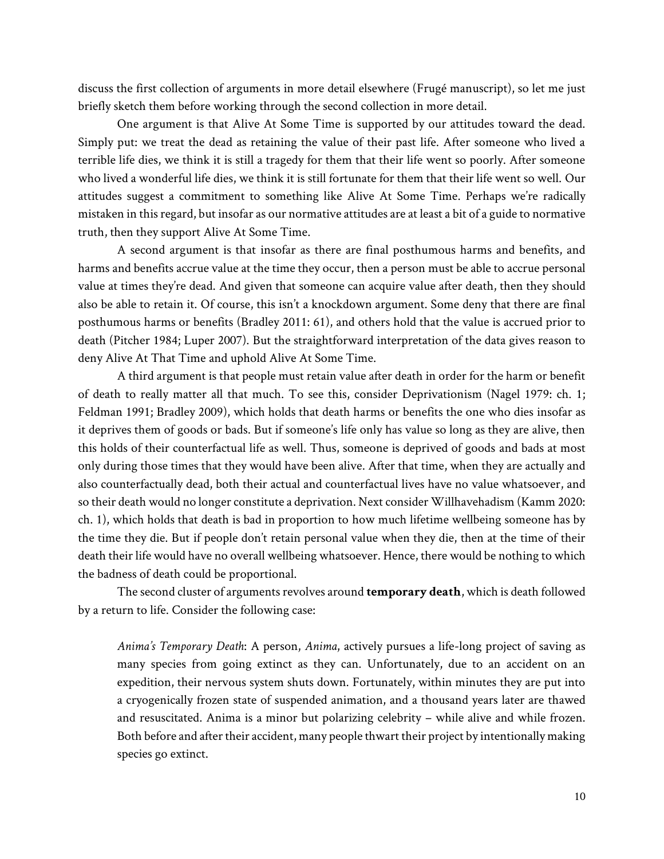discuss the first collection of arguments in more detail elsewhere (Frugé manuscript), so let me just briefly sketch them before working through the second collection in more detail.

One argument is that Alive At Some Time is supported by our attitudes toward the dead. Simply put: we treat the dead as retaining the value of their past life. After someone who lived a terrible life dies, we think it is still a tragedy for them that their life went so poorly. After someone who lived a wonderful life dies, we think it is still fortunate for them that their life went so well. Our attitudes suggest a commitment to something like Alive At Some Time. Perhaps we're radically mistaken in this regard, but insofar as our normative attitudes are at least a bit of a guide to normative truth, then they support Alive At Some Time.

A second argument is that insofar as there are final posthumous harms and benefits, and harms and benefits accrue value at the time they occur, then a person must be able to accrue personal value at times they're dead. And given that someone can acquire value after death, then they should also be able to retain it. Of course, this isn't a knockdown argument. Some deny that there are final posthumous harms or benefits (Bradley 2011: 61), and others hold that the value is accrued prior to death (Pitcher 1984; Luper 2007). But the straightforward interpretation of the data gives reason to deny Alive At That Time and uphold Alive At Some Time.

A third argument is that people must retain value after death in order for the harm or benefit of death to really matter all that much. To see this, consider Deprivationism (Nagel 1979: ch. 1; Feldman 1991; Bradley 2009), which holds that death harms or benefits the one who dies insofar as it deprives them of goods or bads. But if someone's life only has value so long as they are alive, then this holds of their counterfactual life as well. Thus, someone is deprived of goods and bads at most only during those times that they would have been alive. After that time, when they are actually and also counterfactually dead, both their actual and counterfactual lives have no value whatsoever, and so their death would no longer constitute a deprivation. Next consider Willhavehadism (Kamm 2020: ch. 1), which holds that death is bad in proportion to how much lifetime wellbeing someone has by the time they die. But if people don't retain personal value when they die, then at the time of their death their life would have no overall wellbeing whatsoever. Hence, there would be nothing to which the badness of death could be proportional.

The second cluster of arguments revolves around **temporary death**, which is death followed by a return to life. Consider the following case:

*Anima's Temporary Death*: A person, *Anima*, actively pursues a life-long project of saving as many species from going extinct as they can. Unfortunately, due to an accident on an expedition, their nervous system shuts down. Fortunately, within minutes they are put into a cryogenically frozen state of suspended animation, and a thousand years later are thawed and resuscitated. Anima is a minor but polarizing celebrity – while alive and while frozen. Both before and after their accident, many people thwart their project by intentionally making species go extinct.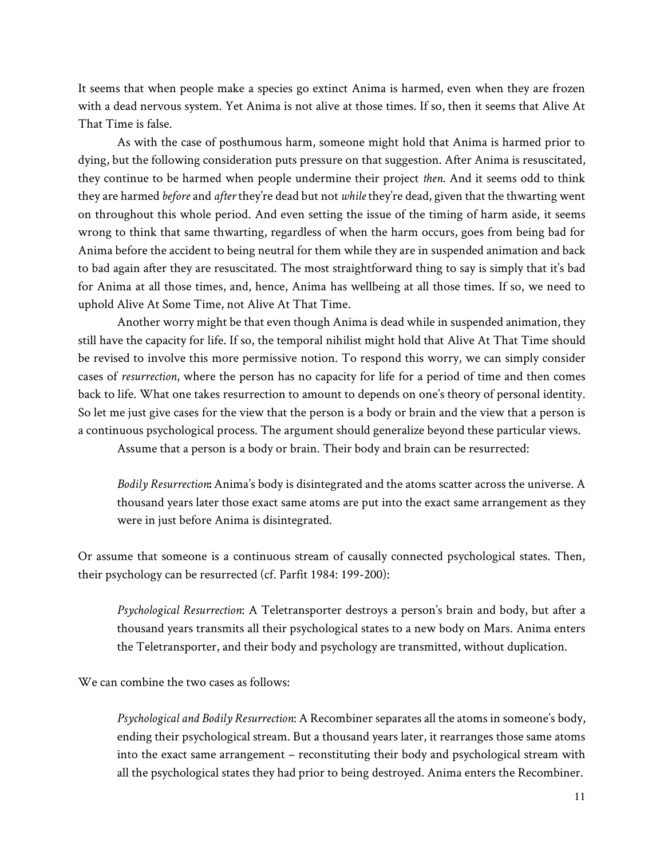It seems that when people make a species go extinct Anima is harmed, even when they are frozen with a dead nervous system. Yet Anima is not alive at those times. If so, then it seems that Alive At That Time is false.

As with the case of posthumous harm, someone might hold that Anima is harmed prior to dying, but the following consideration puts pressure on that suggestion. After Anima is resuscitated, they continue to be harmed when people undermine their project *then*. And it seems odd to think they are harmed *before* and *after* they're dead but not *while* they're dead, given that the thwarting went on throughout this whole period. And even setting the issue of the timing of harm aside, it seems wrong to think that same thwarting, regardless of when the harm occurs, goes from being bad for Anima before the accident to being neutral for them while they are in suspended animation and back to bad again after they are resuscitated. The most straightforward thing to say is simply that it's bad for Anima at all those times, and, hence, Anima has wellbeing at all those times. If so, we need to uphold Alive At Some Time, not Alive At That Time.

Another worry might be that even though Anima is dead while in suspended animation, they still have the capacity for life. If so, the temporal nihilist might hold that Alive At That Time should be revised to involve this more permissive notion. To respond this worry, we can simply consider cases of *resurrection*, where the person has no capacity for life for a period of time and then comes back to life. What one takes resurrection to amount to depends on one's theory of personal identity. So let me just give cases for the view that the person is a body or brain and the view that a person is a continuous psychological process. The argument should generalize beyond these particular views.

Assume that a person is a body or brain. Their body and brain can be resurrected:

*Bodily Resurrection***:** Anima's body is disintegrated and the atoms scatter across the universe. A thousand years later those exact same atoms are put into the exact same arrangement as they were in just before Anima is disintegrated.

Or assume that someone is a continuous stream of causally connected psychological states. Then, their psychology can be resurrected (cf. Parfit 1984: 199-200):

*Psychological Resurrection*: A Teletransporter destroys a person's brain and body, but after a thousand years transmits all their psychological states to a new body on Mars. Anima enters the Teletransporter, and their body and psychology are transmitted, without duplication.

We can combine the two cases as follows:

*Psychological and Bodily Resurrection*: A Recombiner separates all the atoms in someone's body, ending their psychological stream. But a thousand years later, it rearranges those same atoms into the exact same arrangement – reconstituting their body and psychological stream with all the psychological states they had prior to being destroyed. Anima enters the Recombiner.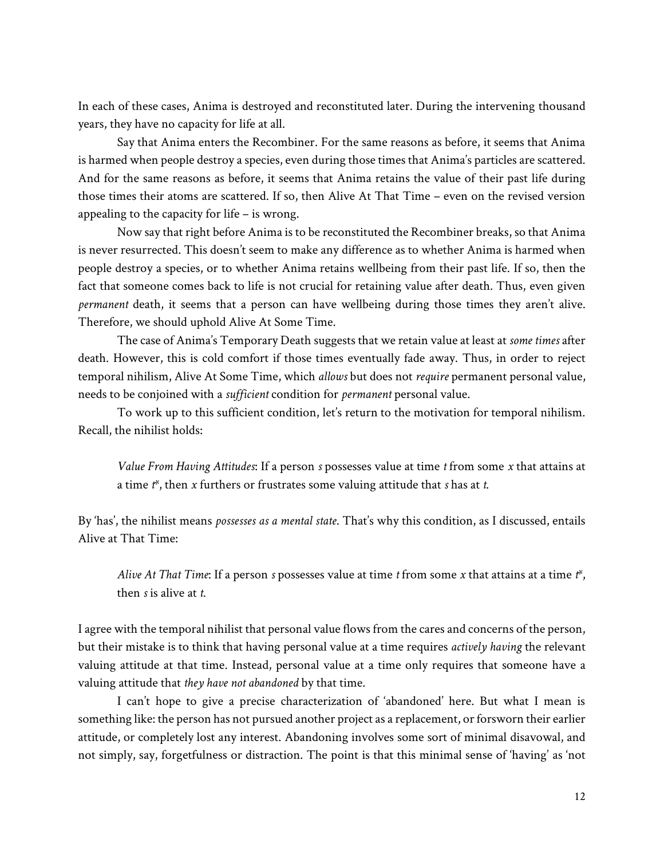In each of these cases, Anima is destroyed and reconstituted later. During the intervening thousand years, they have no capacity for life at all.

Say that Anima enters the Recombiner. For the same reasons as before, it seems that Anima is harmed when people destroy a species, even during those times that Anima's particles are scattered. And for the same reasons as before, it seems that Anima retains the value of their past life during those times their atoms are scattered. If so, then Alive At That Time – even on the revised version appealing to the capacity for life – is wrong.

Now say that right before Anima is to be reconstituted the Recombiner breaks, so that Anima is never resurrected. This doesn't seem to make any difference as to whether Anima is harmed when people destroy a species, or to whether Anima retains wellbeing from their past life. If so, then the fact that someone comes back to life is not crucial for retaining value after death. Thus, even given *permanent* death, it seems that a person can have wellbeing during those times they aren't alive. Therefore, we should uphold Alive At Some Time.

The case of Anima's Temporary Death suggests that we retain value at least at *some times* after death. However, this is cold comfort if those times eventually fade away. Thus, in order to reject temporal nihilism, Alive At Some Time, which *allows* but does not *require* permanent personal value, needs to be conjoined with a *sufficient* condition for *permanent* personal value.

To work up to this sufficient condition, let's return to the motivation for temporal nihilism. Recall, the nihilist holds:

*Value From Having Attitudes*: If a person *s* possesses value at time *t* from some *x* that attains at a time *t\**, then *x* furthers or frustrates some valuing attitude that *s* has at *t*.

By 'has', the nihilist means *possesses as a mental state*. That's why this condition, as I discussed, entails Alive at That Time:

*Alive At That Time*: If a person *s* possesses value at time *t* from some *x* that attains at a time *t\**, then *s* is alive at *t*.

I agree with the temporal nihilist that personal value flows from the cares and concerns of the person, but their mistake is to think that having personal value at a time requires *actively having* the relevant valuing attitude at that time. Instead, personal value at a time only requires that someone have a valuing attitude that *they have not abandoned* by that time.

I can't hope to give a precise characterization of 'abandoned' here. But what I mean is something like: the person has not pursued another project as a replacement, or forsworn their earlier attitude, or completely lost any interest. Abandoning involves some sort of minimal disavowal, and not simply, say, forgetfulness or distraction. The point is that this minimal sense of 'having' as 'not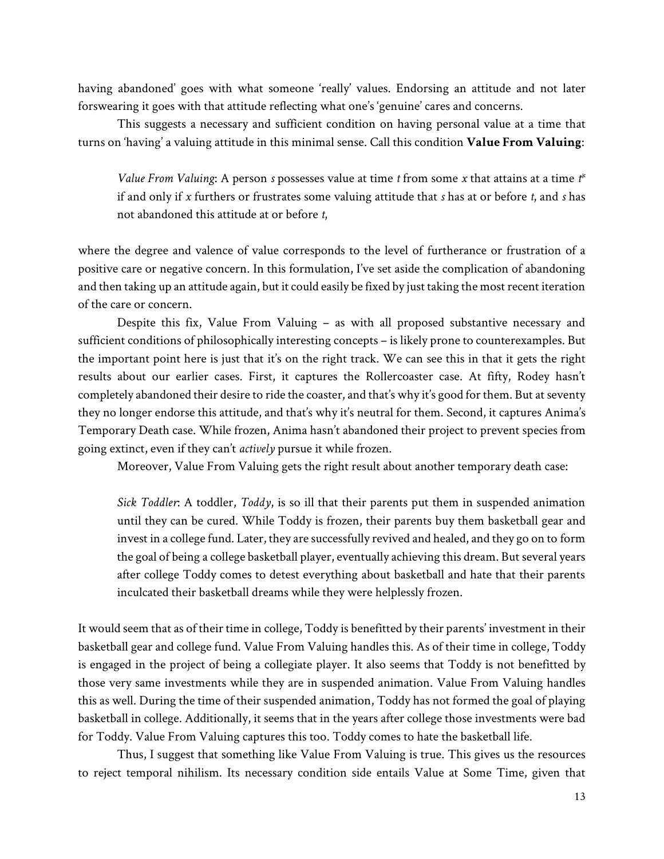having abandoned' goes with what someone 'really' values. Endorsing an attitude and not later forswearing it goes with that attitude reflecting what one's 'genuine' cares and concerns.

This suggests a necessary and sufficient condition on having personal value at a time that turns on 'having' a valuing attitude in this minimal sense. Call this condition **Value From Valuing**:

*Value From Valuing*: A person *s* possesses value at time *t* from some *x* that attains at a time *t\** if and only if *x* furthers or frustrates some valuing attitude that *s* has at or before *t*, and *s* has not abandoned this attitude at or before *t*,

where the degree and valence of value corresponds to the level of furtherance or frustration of a positive care or negative concern. In this formulation, I've set aside the complication of abandoning and then taking up an attitude again, but it could easily be fixed by just taking the most recent iteration of the care or concern.

Despite this fix, Value From Valuing – as with all proposed substantive necessary and sufficient conditions of philosophically interesting concepts – is likely prone to counterexamples. But the important point here is just that it's on the right track. We can see this in that it gets the right results about our earlier cases. First, it captures the Rollercoaster case. At fifty, Rodey hasn't completely abandoned their desire to ride the coaster, and that's why it's good for them. But at seventy they no longer endorse this attitude, and that's why it's neutral for them. Second, it captures Anima's Temporary Death case. While frozen, Anima hasn't abandoned their project to prevent species from going extinct, even if they can't *actively* pursue it while frozen.

Moreover, Value From Valuing gets the right result about another temporary death case:

*Sick Toddler*: A toddler, *Toddy*, is so ill that their parents put them in suspended animation until they can be cured. While Toddy is frozen, their parents buy them basketball gear and invest in a college fund. Later, they are successfully revived and healed, and they go on to form the goal of being a college basketball player, eventually achieving this dream. But several years after college Toddy comes to detest everything about basketball and hate that their parents inculcated their basketball dreams while they were helplessly frozen.

It would seem that as of their time in college, Toddy is benefitted by their parents' investment in their basketball gear and college fund. Value From Valuing handles this. As of their time in college, Toddy is engaged in the project of being a collegiate player. It also seems that Toddy is not benefitted by those very same investments while they are in suspended animation. Value From Valuing handles this as well. During the time of their suspended animation, Toddy has not formed the goal of playing basketball in college. Additionally, it seems that in the years after college those investments were bad for Toddy. Value From Valuing captures this too. Toddy comes to hate the basketball life.

Thus, I suggest that something like Value From Valuing is true. This gives us the resources to reject temporal nihilism. Its necessary condition side entails Value at Some Time, given that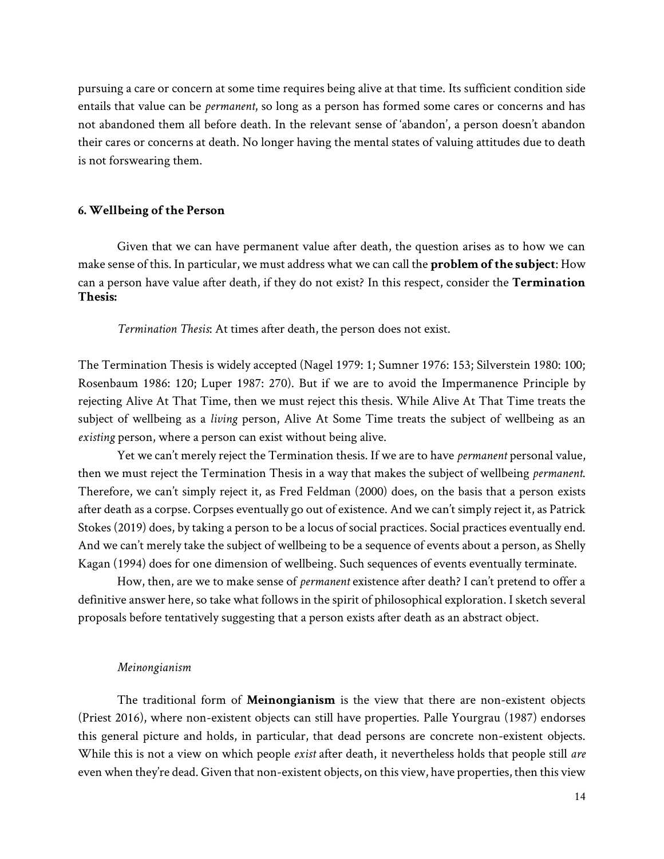pursuing a care or concern at some time requires being alive at that time. Its sufficient condition side entails that value can be *permanent*, so long as a person has formed some cares or concerns and has not abandoned them all before death. In the relevant sense of 'abandon', a person doesn't abandon their cares or concerns at death. No longer having the mental states of valuing attitudes due to death is not forswearing them.

#### **6. Wellbeing of the Person**

Given that we can have permanent value after death, the question arises as to how we can make sense of this. In particular, we must address what we can call the **problem of the subject**: How can a person have value after death, if they do not exist? In this respect, consider the **Termination Thesis:**

*Termination Thesis*: At times after death, the person does not exist.

The Termination Thesis is widely accepted (Nagel 1979: 1; Sumner 1976: 153; Silverstein 1980: 100; Rosenbaum 1986: 120; Luper 1987: 270). But if we are to avoid the Impermanence Principle by rejecting Alive At That Time, then we must reject this thesis. While Alive At That Time treats the subject of wellbeing as a *living* person, Alive At Some Time treats the subject of wellbeing as an *existing* person, where a person can exist without being alive.

Yet we can't merely reject the Termination thesis. If we are to have *permanent* personal value, then we must reject the Termination Thesis in a way that makes the subject of wellbeing *permanent*. Therefore, we can't simply reject it, as Fred Feldman (2000) does, on the basis that a person exists after death as a corpse. Corpses eventually go out of existence. And we can't simply reject it, as Patrick Stokes (2019) does, by taking a person to be a locus of social practices. Social practices eventually end. And we can't merely take the subject of wellbeing to be a sequence of events about a person, as Shelly Kagan (1994) does for one dimension of wellbeing. Such sequences of events eventually terminate.

How, then, are we to make sense of *permanent* existence after death? I can't pretend to offer a definitive answer here, so take what follows in the spirit of philosophical exploration. I sketch several proposals before tentatively suggesting that a person exists after death as an abstract object.

#### *Meinongianism*

The traditional form of **Meinongianism** is the view that there are non-existent objects (Priest 2016), where non-existent objects can still have properties. Palle Yourgrau (1987) endorses this general picture and holds, in particular, that dead persons are concrete non-existent objects. While this is not a view on which people *exist* after death, it nevertheless holds that people still *are*  even when they're dead. Given that non-existent objects, on this view, have properties, then this view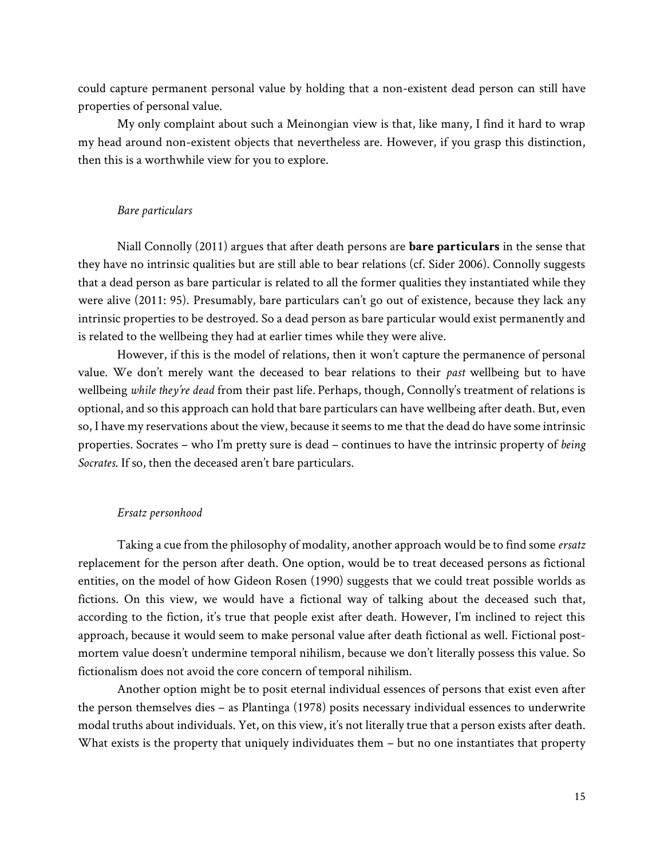could capture permanent personal value by holding that a non-existent dead person can still have properties of personal value.

My only complaint about such a Meinongian view is that, like many, I find it hard to wrap my head around non-existent objects that nevertheless are. However, if you grasp this distinction, then this is a worthwhile view for you to explore.

### *Bare particulars*

Niall Connolly (2011) argues that after death persons are **bare particulars** in the sense that they have no intrinsic qualities but are still able to bear relations (cf. Sider 2006). Connolly suggests that a dead person as bare particular is related to all the former qualities they instantiated while they were alive (2011: 95). Presumably, bare particulars can't go out of existence, because they lack any intrinsic properties to be destroyed. So a dead person as bare particular would exist permanently and is related to the wellbeing they had at earlier times while they were alive.

However, if this is the model of relations, then it won't capture the permanence of personal value. We don't merely want the deceased to bear relations to their *past* wellbeing but to have wellbeing *while they're dead* from their past life*.* Perhaps, though, Connolly's treatment of relations is optional, and so this approach can hold that bare particulars can have wellbeing after death. But, even so, I have my reservations about the view, because it seems to me that the dead do have some intrinsic properties. Socrates – who I'm pretty sure is dead – continues to have the intrinsic property of *being Socrates*. If so, then the deceased aren't bare particulars.

#### *Ersatz personhood*

Taking a cue from the philosophy of modality, another approach would be to find some *ersatz*  replacement for the person after death. One option, would be to treat deceased persons as fictional entities, on the model of how Gideon Rosen (1990) suggests that we could treat possible worlds as fictions. On this view, we would have a fictional way of talking about the deceased such that, according to the fiction, it's true that people exist after death. However, I'm inclined to reject this approach, because it would seem to make personal value after death fictional as well. Fictional postmortem value doesn't undermine temporal nihilism, because we don't literally possess this value. So fictionalism does not avoid the core concern of temporal nihilism.

Another option might be to posit eternal individual essences of persons that exist even after the person themselves dies – as Plantinga (1978) posits necessary individual essences to underwrite modal truths about individuals. Yet, on this view, it's not literally true that a person exists after death. What exists is the property that uniquely individuates them – but no one instantiates that property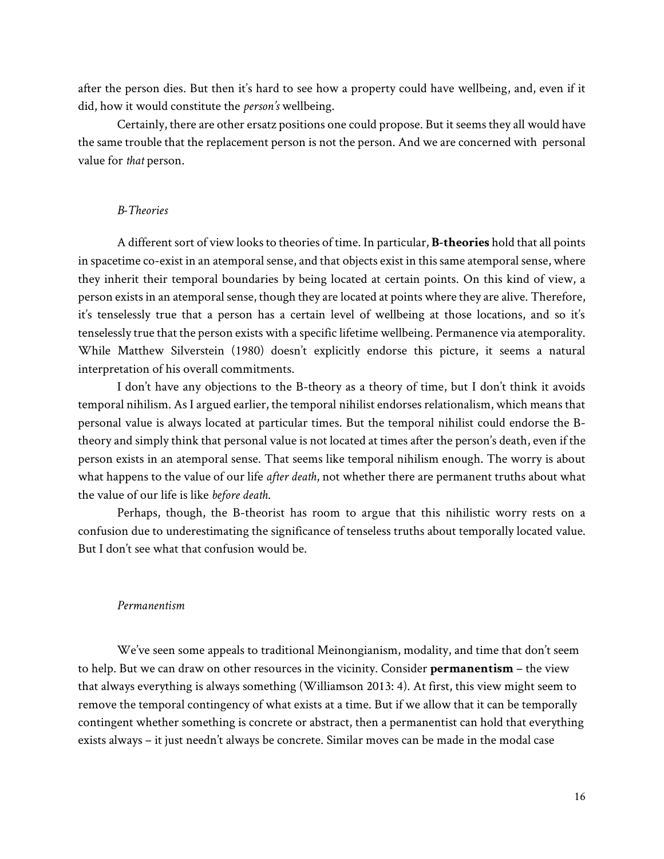after the person dies. But then it's hard to see how a property could have wellbeing, and, even if it did, how it would constitute the *person's* wellbeing.

Certainly, there are other ersatz positions one could propose. But it seems they all would have the same trouble that the replacement person is not the person. And we are concerned with personal value for *that* person.

### *B-Theories*

A different sort of view looks to theories of time. In particular, **B-theories** hold that all points in spacetime co-exist in an atemporal sense, and that objects exist in this same atemporal sense, where they inherit their temporal boundaries by being located at certain points. On this kind of view, a person exists in an atemporal sense, though they are located at points where they are alive. Therefore, it's tenselessly true that a person has a certain level of wellbeing at those locations, and so it's tenselessly true that the person exists with a specific lifetime wellbeing. Permanence via atemporality. While Matthew Silverstein (1980) doesn't explicitly endorse this picture, it seems a natural interpretation of his overall commitments.

I don't have any objections to the B-theory as a theory of time, but I don't think it avoids temporal nihilism. As I argued earlier, the temporal nihilist endorses relationalism, which means that personal value is always located at particular times. But the temporal nihilist could endorse the Btheory and simply think that personal value is not located at times after the person's death, even if the person exists in an atemporal sense. That seems like temporal nihilism enough. The worry is about what happens to the value of our life *after death*, not whether there are permanent truths about what the value of our life is like *before death*.

Perhaps, though, the B-theorist has room to argue that this nihilistic worry rests on a confusion due to underestimating the significance of tenseless truths about temporally located value. But I don't see what that confusion would be.

### *Permanentism*

We've seen some appeals to traditional Meinongianism, modality, and time that don't seem to help. But we can draw on other resources in the vicinity. Consider **permanentism** – the view that always everything is always something (Williamson 2013: 4). At first, this view might seem to remove the temporal contingency of what exists at a time. But if we allow that it can be temporally contingent whether something is concrete or abstract, then a permanentist can hold that everything exists always – it just needn't always be concrete. Similar moves can be made in the modal case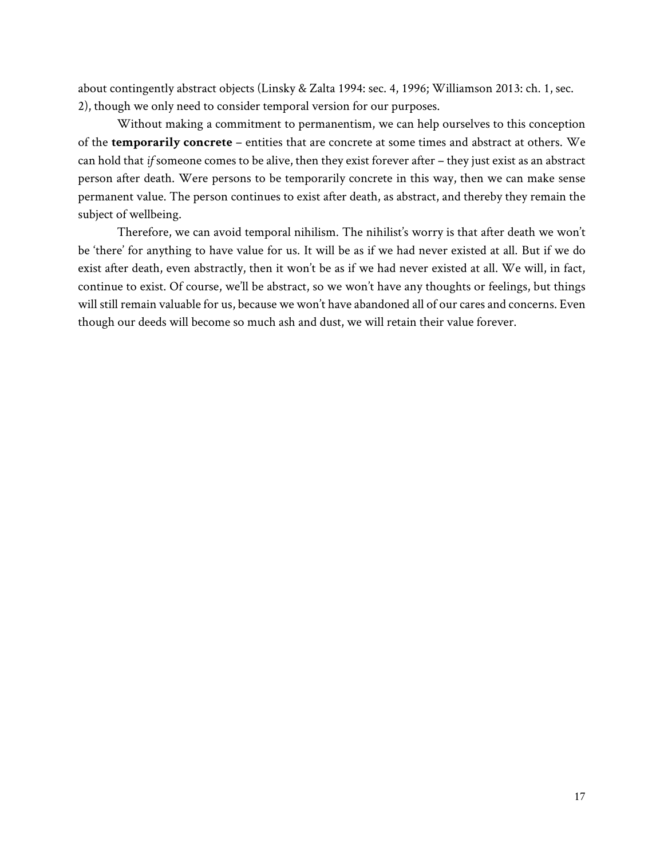about contingently abstract objects (Linsky & Zalta 1994: sec. 4, 1996; Williamson 2013: ch. 1, sec. 2), though we only need to consider temporal version for our purposes.

Without making a commitment to permanentism, we can help ourselves to this conception of the **temporarily concrete** – entities that are concrete at some times and abstract at others. We can hold that *if* someone comes to be alive, then they exist forever after – they just exist as an abstract person after death. Were persons to be temporarily concrete in this way, then we can make sense permanent value. The person continues to exist after death, as abstract, and thereby they remain the subject of wellbeing.

Therefore, we can avoid temporal nihilism. The nihilist's worry is that after death we won't be 'there' for anything to have value for us. It will be as if we had never existed at all. But if we do exist after death, even abstractly, then it won't be as if we had never existed at all. We will, in fact, continue to exist. Of course, we'll be abstract, so we won't have any thoughts or feelings, but things will still remain valuable for us, because we won't have abandoned all of our cares and concerns. Even though our deeds will become so much ash and dust, we will retain their value forever.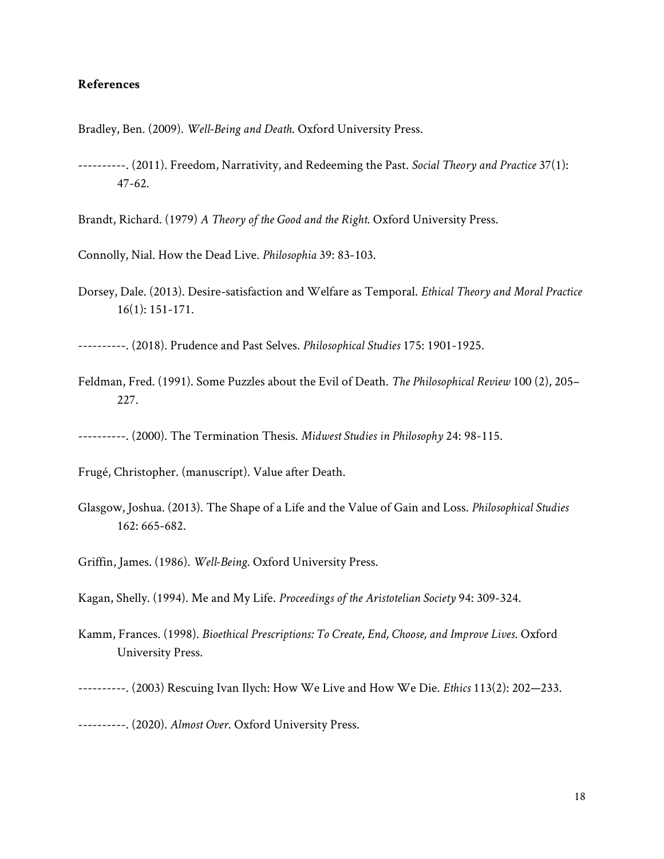# **References**

Bradley, Ben. (2009). *Well-Being and Death*. Oxford University Press.

----------. (2011). Freedom, Narrativity, and Redeeming the Past. *Social Theory and Practice* 37(1): 47-62.

Brandt, Richard. (1979) *A Theory of the Good and the Right*. Oxford University Press.

- Connolly, Nial. How the Dead Live. *Philosophia* 39: 83-103.
- Dorsey, Dale. (2013). Desire-satisfaction and Welfare as Temporal. *Ethical Theory and Moral Practice* 16(1): 151-171.

----------. (2018). Prudence and Past Selves. *Philosophical Studies* 175: 1901-1925.

Feldman, Fred. (1991). Some Puzzles about the Evil of Death. *The Philosophical Review* 100 (2), 205– 227.

----------. (2000). The Termination Thesis. *Midwest Studies in Philosophy* 24: 98-115.

Frugé, Christopher. (manuscript). Value after Death.

Glasgow, Joshua. (2013). The Shape of a Life and the Value of Gain and Loss. *Philosophical Studies*  162: 665-682.

Griffin, James. (1986). *Well-Being*. Oxford University Press.

Kagan, Shelly. (1994). Me and My Life. *Proceedings of the Aristotelian Society* 94: 309-324.

Kamm, Frances. (1998). *Bioethical Prescriptions: To Create, End, Choose, and Improve Lives*. Oxford University Press.

----------. (2020). *Almost Over*. Oxford University Press.

<sup>----------.</sup> (2003) Rescuing Ivan Ilych: How We Live and How We Die. *Ethics* 113(2): 202—233.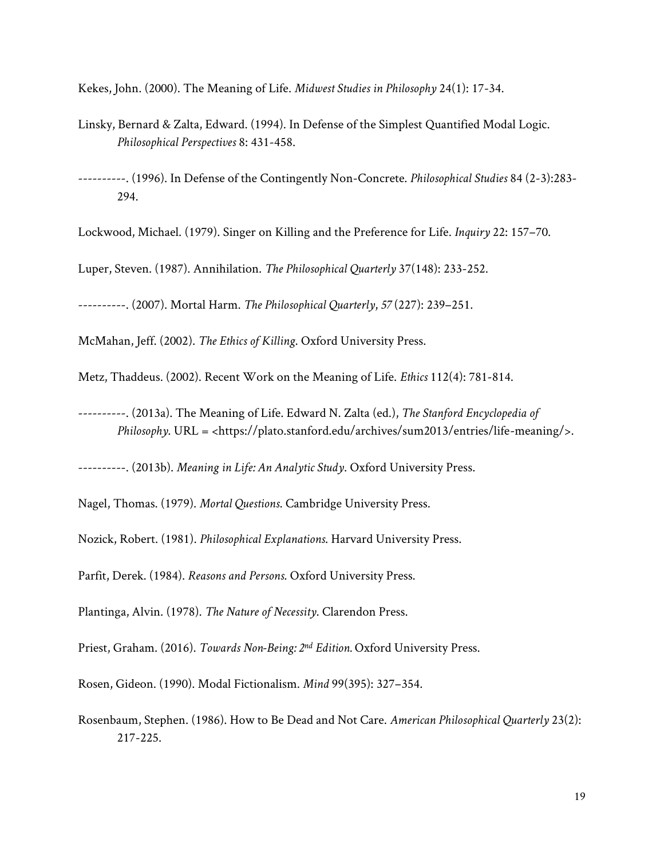Kekes, John. (2000). The Meaning of Life. *Midwest Studies in Philosophy* 24(1): 17-34.

- Linsky, Bernard & Zalta, Edward. (1994). In Defense of the Simplest Quantified Modal Logic. *Philosophical Perspectives* 8: 431-458.
- ----------. (1996). In Defense of the Contingently Non-Concrete. *Philosophical Studies* 84 (2-3):283- 294.

Lockwood, Michael. (1979). Singer on Killing and the Preference for Life. *Inquiry* 22: 157–70.

Luper, Steven. (1987). Annihilation. *The Philosophical Quarterly* 37(148): 233-252.

----------. (2007). Mortal Harm. *The Philosophical Quarterly*, *57* (227): 239–251.

McMahan, Jeff. (2002). *The Ethics of Killing*. Oxford University Press.

Metz, Thaddeus. (2002). Recent Work on the Meaning of Life. *Ethics* 112(4): 781-814.

----------. (2013a). The Meaning of Life. Edward N. Zalta (ed.), *The Stanford Encyclopedia of Philosophy*. URL = <https://plato.stanford.edu/archives/sum2013/entries/life-meaning/>.

----------. (2013b). *Meaning in Life: An Analytic Study*. Oxford University Press.

Nagel, Thomas. (1979). *Mortal Questions*. Cambridge University Press.

Nozick, Robert. (1981). *Philosophical Explanations*. Harvard University Press.

Parfit, Derek. (1984). *Reasons and Persons*. Oxford University Press.

Plantinga, Alvin. (1978). *The Nature of Necessity*. Clarendon Press.

Priest, Graham. (2016). *Towards Non-Being: 2nd Edition.* Oxford University Press.

Rosen, Gideon. (1990). Modal Fictionalism. *Mind* 99(395): 327–354.

Rosenbaum, Stephen. (1986). How to Be Dead and Not Care. *American Philosophical Quarterly* 23(2): 217-225.